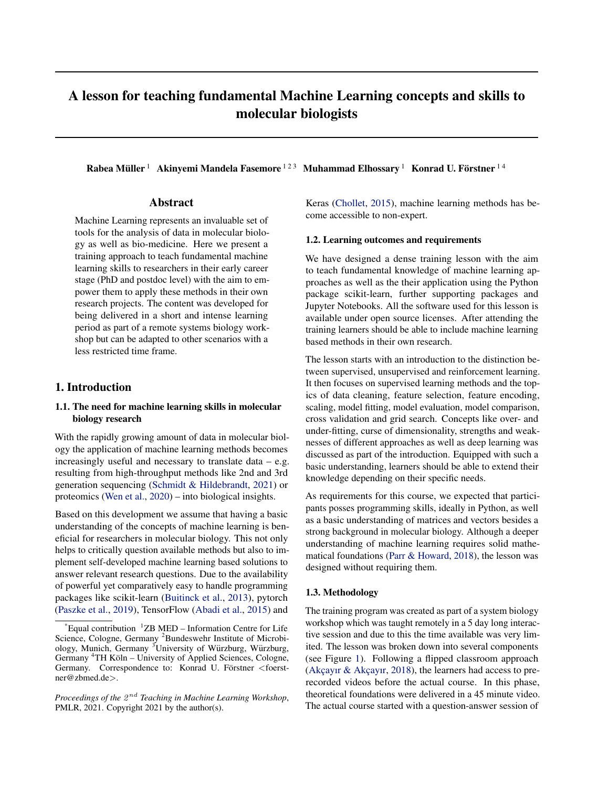# A lesson for teaching fundamental Machine Learning concepts and skills to molecular biologists

Rabea Müller  $^1$  Akinyemi Mandela Fasemore  $^{123}$  Muhammad Elhossary  $^1$  Konrad U. Förstner  $^{14}$ 

## Abstract

Machine Learning represents an invaluable set of tools for the analysis of data in molecular biology as well as bio-medicine. Here we present a training approach to teach fundamental machine learning skills to researchers in their early career stage (PhD and postdoc level) with the aim to empower them to apply these methods in their own research projects. The content was developed for being delivered in a short and intense learning period as part of a remote systems biology workshop but can be adapted to other scenarios with a less restricted time frame.

## 1. Introduction

## 1.1. The need for machine learning skills in molecular biology research

With the rapidly growing amount of data in molecular biology the application of machine learning methods becomes increasingly useful and necessary to translate data  $-$  e.g. resulting from high-throughput methods like 2nd and 3rd generation sequencing [\(Schmidt & Hildebrandt,](#page-3-0) [2021\)](#page-3-0) or proteomics [\(Wen et al.,](#page-3-0) [2020\)](#page-3-0) – into biological insights.

Based on this development we assume that having a basic understanding of the concepts of machine learning is beneficial for researchers in molecular biology. This not only helps to critically question available methods but also to implement self-developed machine learning based solutions to answer relevant research questions. Due to the availability of powerful yet comparatively easy to handle programming packages like scikit-learn [\(Buitinck et al.,](#page-3-0) [2013\)](#page-3-0), pytorch [\(Paszke et al.,](#page-3-0) [2019\)](#page-3-0), TensorFlow [\(Abadi et al.,](#page-2-0) [2015\)](#page-2-0) and

Proceedings of the  $2^{nd}$  Teaching in Machine Learning Workshop, PMLR, 2021. Copyright 2021 by the author(s).

Keras [\(Chollet,](#page-3-0) [2015\)](#page-3-0), machine learning methods has become accessible to non-expert.

#### 1.2. Learning outcomes and requirements

We have designed a dense training lesson with the aim to teach fundamental knowledge of machine learning approaches as well as the their application using the Python package scikit-learn, further supporting packages and Jupyter Notebooks. All the software used for this lesson is available under open source licenses. After attending the training learners should be able to include machine learning based methods in their own research.

The lesson starts with an introduction to the distinction between supervised, unsupervised and reinforcement learning. It then focuses on supervised learning methods and the topics of data cleaning, feature selection, feature encoding, scaling, model fitting, model evaluation, model comparison, cross validation and grid search. Concepts like over- and under-fitting, curse of dimensionality, strengths and weaknesses of different approaches as well as deep learning was discussed as part of the introduction. Equipped with such a basic understanding, learners should be able to extend their knowledge depending on their specific needs.

As requirements for this course, we expected that participants posses programming skills, ideally in Python, as well as a basic understanding of matrices and vectors besides a strong background in molecular biology. Although a deeper understanding of machine learning requires solid mathematical foundations [\(Parr & Howard,](#page-3-0) [2018\)](#page-3-0), the lesson was designed without requiring them.

#### 1.3. Methodology

The training program was created as part of a system biology workshop which was taught remotely in a 5 day long interactive session and due to this the time available was very limited. The lesson was broken down into several components (see Figure [1\)](#page-1-0). Following a flipped classroom approach (Akçayır & Akçayır, [2018\)](#page-3-0), the learners had access to prerecorded videos before the actual course. In this phase, theoretical foundations were delivered in a 45 minute video. The actual course started with a question-answer session of

 $E$ qual contribution  $1$ <sup>1</sup>ZB MED – Information Centre for Life Science, Cologne, Germany <sup>2</sup>Bundeswehr Institute of Microbiology, Munich, Germany  ${}^{3}$ University of Würzburg, Würzburg, Germany <sup>4</sup>TH Köln – University of Applied Sciences, Cologne, Germany. Correspondence to: Konrad U. Förstner <foerstner@zbmed.de>.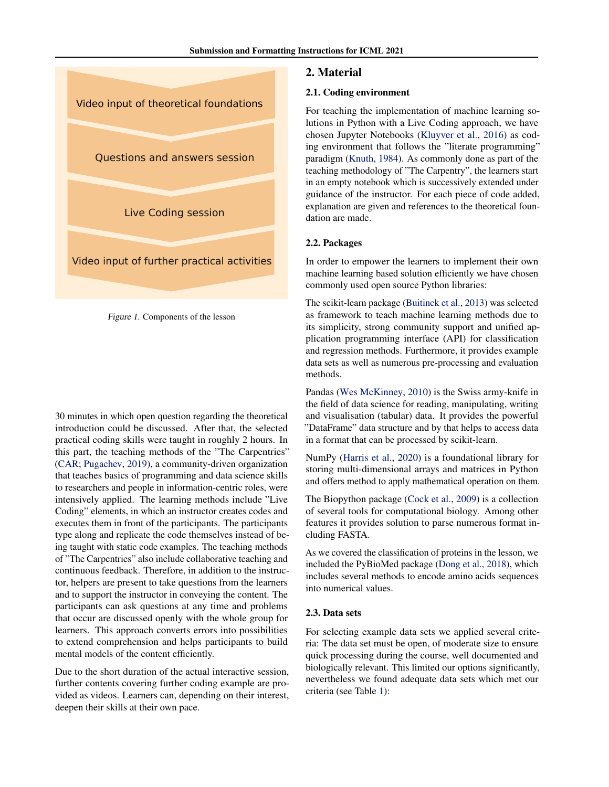<span id="page-1-0"></span>



30 minutes in which open question regarding the theoretical introduction could be discussed. After that, the selected practical coding skills were taught in roughly 2 hours. In this part, the teaching methods of the "The Carpentries" [\(CAR;](#page-2-0) [Pugachev,](#page-3-0) [2019\)](#page-3-0), a community-driven organization that teaches basics of programming and data science skills to researchers and people in information-centric roles, were intensively applied. The learning methods include "Live Coding" elements, in which an instructor creates codes and executes them in front of the participants. The participants type along and replicate the code themselves instead of being taught with static code examples. The teaching methods of "The Carpentries" also include collaborative teaching and continuous feedback. Therefore, in addition to the instructor, helpers are present to take questions from the learners and to support the instructor in conveying the content. The participants can ask questions at any time and problems that occur are discussed openly with the whole group for learners. This approach converts errors into possibilities to extend comprehension and helps participants to build mental models of the content efficiently.

Due to the short duration of the actual interactive session, further contents covering further coding example are provided as videos. Learners can, depending on their interest, deepen their skills at their own pace.

#### 2. Material

#### 2.1. Coding environment

For teaching the implementation of machine learning solutions in Python with a Live Coding approach, we have chosen Jupyter Notebooks [\(Kluyver et al.,](#page-3-0) [2016\)](#page-3-0) as coding environment that follows the "literate programming" paradigm [\(Knuth,](#page-3-0) [1984\)](#page-3-0). As commonly done as part of the teaching methodology of "The Carpentry", the learners start in an empty notebook which is successively extended under guidance of the instructor. For each piece of code added, explanation are given and references to the theoretical foundation are made.

#### 2.2. Packages

In order to empower the learners to implement their own machine learning based solution efficiently we have chosen commonly used open source Python libraries:

The scikit-learn package [\(Buitinck et al.,](#page-3-0) [2013\)](#page-3-0) was selected as framework to teach machine learning methods due to its simplicity, strong community support and unified application programming interface (API) for classification and regression methods. Furthermore, it provides example data sets as well as numerous pre-processing and evaluation methods.

Pandas [\(Wes McKinney,](#page-3-0) [2010\)](#page-3-0) is the Swiss army-knife in the field of data science for reading, manipulating, writing and visualisation (tabular) data. It provides the powerful "DataFrame" data structure and by that helps to access data in a format that can be processed by scikit-learn.

NumPy [\(Harris et al.,](#page-3-0) [2020\)](#page-3-0) is a foundational library for storing multi-dimensional arrays and matrices in Python and offers method to apply mathematical operation on them.

The Biopython package [\(Cock et al.,](#page-3-0) [2009\)](#page-3-0) is a collection of several tools for computational biology. Among other features it provides solution to parse numerous format including FASTA.

As we covered the classification of proteins in the lesson, we included the PyBioMed package [\(Dong et al.,](#page-3-0) [2018\)](#page-3-0), which includes several methods to encode amino acids sequences into numerical values.

#### 2.3. Data sets

For selecting example data sets we applied several criteria: The data set must be open, of moderate size to ensure quick processing during the course, well documented and biologically relevant. This limited our options significantly, nevertheless we found adequate data sets which met our criteria (see Table [1\)](#page-2-0):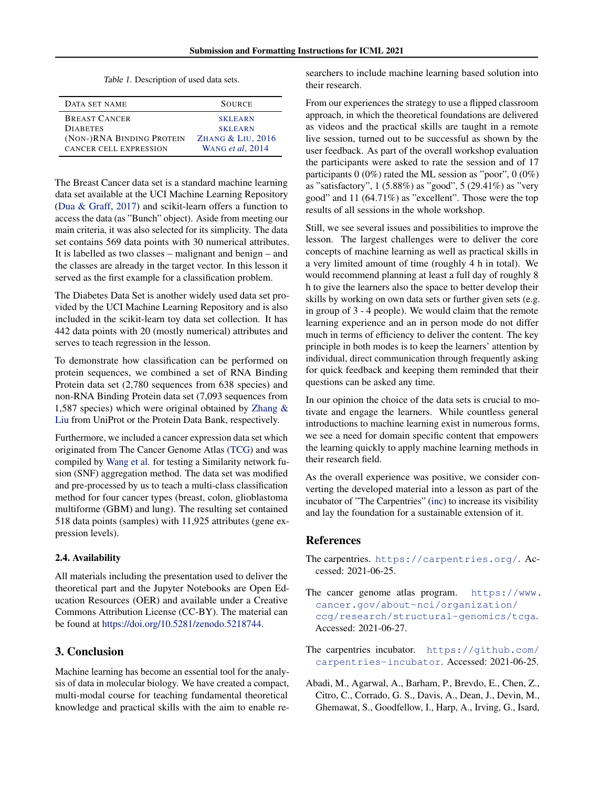Table 1. Description of used data sets.

<span id="page-2-0"></span>

| DATA SET NAME                 | <b>SOURCE</b>     |
|-------------------------------|-------------------|
| <b>BREAST CANCER</b>          | <b>SKLEARN</b>    |
| <b>DIABETES</b>               | <b>SKLEARN</b>    |
| (NON-)RNA BINDING PROTEIN     | ZHANG & LIU, 2016 |
| <b>CANCER CELL EXPRESSION</b> | WANG et al. 2014  |

The Breast Cancer data set is a standard machine learning data set available at the UCI Machine Learning Repository [\(Dua & Graff,](#page-3-0) [2017\)](#page-3-0) and scikit-learn offers a function to access the data (as "Bunch" object). Aside from meeting our main criteria, it was also selected for its simplicity. The data set contains 569 data points with 30 numerical attributes. It is labelled as two classes – malignant and benign – and the classes are already in the target vector. In this lesson it served as the first example for a classification problem.

The Diabetes Data Set is another widely used data set provided by the UCI Machine Learning Repository and is also included in the scikit-learn toy data set collection. It has 442 data points with 20 (mostly numerical) attributes and serves to teach regression in the lesson.

To demonstrate how classification can be performed on protein sequences, we combined a set of RNA Binding Protein data set (2,780 sequences from 638 species) and non-RNA Binding Protein data set (7,093 sequences from 1,587 species) which were original obtained by [Zhang &](#page-4-0) [Liu](#page-4-0) from UniProt or the Protein Data Bank, respectively.

Furthermore, we included a cancer expression data set which originated from The Cancer Genome Atlas (TCG) and was compiled by [Wang et al.](#page-3-0) for testing a Similarity network fusion (SNF) aggregation method. The data set was modified and pre-processed by us to teach a multi-class classification method for four cancer types (breast, colon, glioblastoma multiforme (GBM) and lung). The resulting set contained 518 data points (samples) with 11,925 attributes (gene expression levels).

#### 2.4. Availability

All materials including the presentation used to deliver the theoretical part and the Jupyter Notebooks are Open Education Resources (OER) and available under a Creative Commons Attribution License (CC-BY). The material can be found at [https://doi.org/10.5281/zenodo.5218744.](https://doi.org/10.5281/zenodo.5218744)

# 3. Conclusion

Machine learning has become an essential tool for the analysis of data in molecular biology. We have created a compact, multi-modal course for teaching fundamental theoretical knowledge and practical skills with the aim to enable researchers to include machine learning based solution into their research.

From our experiences the strategy to use a flipped classroom approach, in which the theoretical foundations are delivered as videos and the practical skills are taught in a remote live session, turned out to be successful as shown by the user feedback. As part of the overall workshop evaluation the participants were asked to rate the session and of 17 participants 0 (0%) rated the ML session as "poor", 0 (0%) as "satisfactory", 1 (5.88%) as "good", 5 (29.41%) as "very good" and 11 (64.71%) as "excellent". Those were the top results of all sessions in the whole workshop.

Still, we see several issues and possibilities to improve the lesson. The largest challenges were to deliver the core concepts of machine learning as well as practical skills in a very limited amount of time (roughly 4 h in total). We would recommend planning at least a full day of roughly 8 h to give the learners also the space to better develop their skills by working on own data sets or further given sets (e.g. in group of 3 - 4 people). We would claim that the remote learning experience and an in person mode do not differ much in terms of efficiency to deliver the content. The key principle in both modes is to keep the learners' attention by individual, direct communication through frequently asking for quick feedback and keeping them reminded that their questions can be asked any time.

In our opinion the choice of the data sets is crucial to motivate and engage the learners. While countless general introductions to machine learning exist in numerous forms, we see a need for domain specific content that empowers the learning quickly to apply machine learning methods in their research field.

As the overall experience was positive, we consider converting the developed material into a lesson as part of the incubator of "The Carpentries" (inc) to increase its visibility and lay the foundation for a sustainable extension of it.

### References

- The carpentries. <https://carpentries.org/>. Accessed: 2021-06-25.
- The cancer genome atlas program. [https://www.](https://www.cancer.gov/about-nci/organization/ccg/research/structural-genomics/tcga) [cancer.gov/about-nci/organization/](https://www.cancer.gov/about-nci/organization/ccg/research/structural-genomics/tcga) [ccg/research/structural-genomics/tcga](https://www.cancer.gov/about-nci/organization/ccg/research/structural-genomics/tcga). Accessed: 2021-06-27.
- The carpentries incubator. [https://github.com/](https://github.com/carpentries-incubator) [carpentries-incubator](https://github.com/carpentries-incubator). Accessed: 2021-06-25.
- Abadi, M., Agarwal, A., Barham, P., Brevdo, E., Chen, Z., Citro, C., Corrado, G. S., Davis, A., Dean, J., Devin, M., Ghemawat, S., Goodfellow, I., Harp, A., Irving, G., Isard,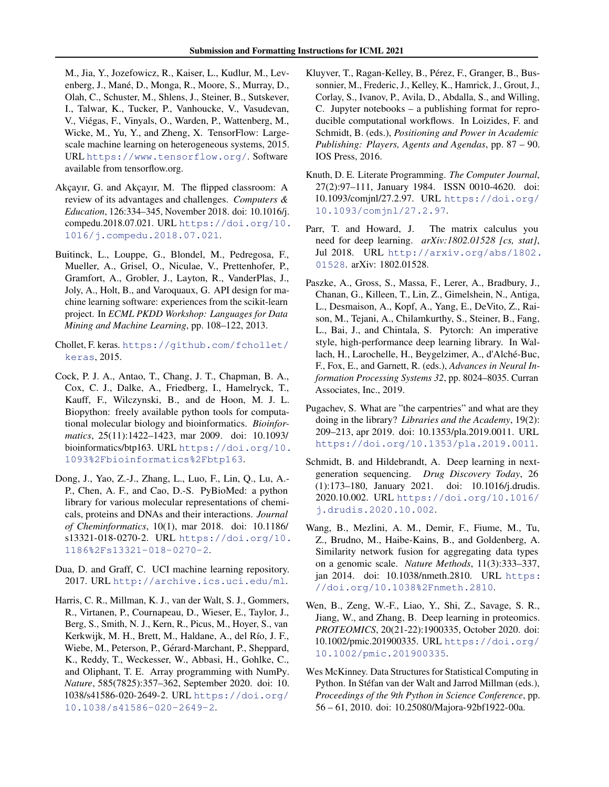<span id="page-3-0"></span>M., Jia, Y., Jozefowicz, R., Kaiser, L., Kudlur, M., Levenberg, J., Mané, D., Monga, R., Moore, S., Murray, D., Olah, C., Schuster, M., Shlens, J., Steiner, B., Sutskever, I., Talwar, K., Tucker, P., Vanhoucke, V., Vasudevan, V., Viegas, F., Vinyals, O., Warden, P., Wattenberg, M., ´ Wicke, M., Yu, Y., and Zheng, X. TensorFlow: Largescale machine learning on heterogeneous systems, 2015. URL <https://www.tensorflow.org/>. Software available from tensorflow.org.

- Akçayır, G. and Akçayır, M. The flipped classroom: A review of its advantages and challenges. *Computers & Education*, 126:334–345, November 2018. doi: 10.1016/j. compedu.2018.07.021. URL [https://doi.org/10.](https://doi.org/10.1016/j.compedu.2018.07.021) [1016/j.compedu.2018.07.021](https://doi.org/10.1016/j.compedu.2018.07.021).
- Buitinck, L., Louppe, G., Blondel, M., Pedregosa, F., Mueller, A., Grisel, O., Niculae, V., Prettenhofer, P., Gramfort, A., Grobler, J., Layton, R., VanderPlas, J., Joly, A., Holt, B., and Varoquaux, G. API design for machine learning software: experiences from the scikit-learn project. In *ECML PKDD Workshop: Languages for Data Mining and Machine Learning*, pp. 108–122, 2013.

Chollet, F. keras. [https://github.com/fchollet/](https://github.com/fchollet/keras) [keras](https://github.com/fchollet/keras), 2015.

- Cock, P. J. A., Antao, T., Chang, J. T., Chapman, B. A., Cox, C. J., Dalke, A., Friedberg, I., Hamelryck, T., Kauff, F., Wilczynski, B., and de Hoon, M. J. L. Biopython: freely available python tools for computational molecular biology and bioinformatics. *Bioinformatics*, 25(11):1422–1423, mar 2009. doi: 10.1093/ bioinformatics/btp163. URL [https://doi.org/10.](https://doi.org/10.1093%2Fbioinformatics%2Fbtp163) [1093%2Fbioinformatics%2Fbtp163](https://doi.org/10.1093%2Fbioinformatics%2Fbtp163).
- Dong, J., Yao, Z.-J., Zhang, L., Luo, F., Lin, Q., Lu, A.- P., Chen, A. F., and Cao, D.-S. PyBioMed: a python library for various molecular representations of chemicals, proteins and DNAs and their interactions. *Journal of Cheminformatics*, 10(1), mar 2018. doi: 10.1186/ s13321-018-0270-2. URL [https://doi.org/10.](https://doi.org/10.1186%2Fs13321-018-0270-2) [1186%2Fs13321-018-0270-2](https://doi.org/10.1186%2Fs13321-018-0270-2).
- Dua, D. and Graff, C. UCI machine learning repository. 2017. URL <http://archive.ics.uci.edu/ml>.
- Harris, C. R., Millman, K. J., van der Walt, S. J., Gommers, R., Virtanen, P., Cournapeau, D., Wieser, E., Taylor, J., Berg, S., Smith, N. J., Kern, R., Picus, M., Hoyer, S., van Kerkwijk, M. H., Brett, M., Haldane, A., del Río, J. F., Wiebe, M., Peterson, P., Gérard-Marchant, P., Sheppard, K., Reddy, T., Weckesser, W., Abbasi, H., Gohlke, C., and Oliphant, T. E. Array programming with NumPy. *Nature*, 585(7825):357–362, September 2020. doi: 10. 1038/s41586-020-2649-2. URL [https://doi.org/](https://doi.org/10.1038/s41586-020-2649-2) [10.1038/s41586-020-2649-2](https://doi.org/10.1038/s41586-020-2649-2).
- Kluyver, T., Ragan-Kelley, B., Pérez, F., Granger, B., Bussonnier, M., Frederic, J., Kelley, K., Hamrick, J., Grout, J., Corlay, S., Ivanov, P., Avila, D., Abdalla, S., and Willing, C. Jupyter notebooks – a publishing format for reproducible computational workflows. In Loizides, F. and Schmidt, B. (eds.), *Positioning and Power in Academic Publishing: Players, Agents and Agendas*, pp. 87 – 90. IOS Press, 2016.
- Knuth, D. E. Literate Programming. *The Computer Journal*, 27(2):97–111, January 1984. ISSN 0010-4620. doi: 10.1093/comjnl/27.2.97. URL [https://doi.org/](https://doi.org/10.1093/comjnl/27.2.97) [10.1093/comjnl/27.2.97](https://doi.org/10.1093/comjnl/27.2.97).
- Parr, T. and Howard, J. The matrix calculus you need for deep learning. *arXiv:1802.01528 [cs, stat]*, Jul 2018. URL [http://arxiv.org/abs/1802.](http://arxiv.org/abs/1802.01528) [01528](http://arxiv.org/abs/1802.01528). arXiv: 1802.01528.
- Paszke, A., Gross, S., Massa, F., Lerer, A., Bradbury, J., Chanan, G., Killeen, T., Lin, Z., Gimelshein, N., Antiga, L., Desmaison, A., Kopf, A., Yang, E., DeVito, Z., Raison, M., Tejani, A., Chilamkurthy, S., Steiner, B., Fang, L., Bai, J., and Chintala, S. Pytorch: An imperative style, high-performance deep learning library. In Wallach, H., Larochelle, H., Beygelzimer, A., d'Alché-Buc, F., Fox, E., and Garnett, R. (eds.), *Advances in Neural Information Processing Systems 32*, pp. 8024–8035. Curran Associates, Inc., 2019.
- Pugachev, S. What are "the carpentries" and what are they doing in the library? *Libraries and the Academy*, 19(2): 209–213, apr 2019. doi: 10.1353/pla.2019.0011. URL <https://doi.org/10.1353/pla.2019.0011>.
- Schmidt, B. and Hildebrandt, A. Deep learning in nextgeneration sequencing. *Drug Discovery Today*, 26 (1):173–180, January 2021. doi: 10.1016/j.drudis. 2020.10.002. URL [https://doi.org/10.1016/](https://doi.org/10.1016/j.drudis.2020.10.002) [j.drudis.2020.10.002](https://doi.org/10.1016/j.drudis.2020.10.002).
- Wang, B., Mezlini, A. M., Demir, F., Fiume, M., Tu, Z., Brudno, M., Haibe-Kains, B., and Goldenberg, A. Similarity network fusion for aggregating data types on a genomic scale. *Nature Methods*, 11(3):333–337, jan 2014. doi: 10.1038/nmeth.2810. URL [https:](https://doi.org/10.1038%2Fnmeth.2810) [//doi.org/10.1038%2Fnmeth.2810](https://doi.org/10.1038%2Fnmeth.2810).
- Wen, B., Zeng, W.-F., Liao, Y., Shi, Z., Savage, S. R., Jiang, W., and Zhang, B. Deep learning in proteomics. *PROTEOMICS*, 20(21-22):1900335, October 2020. doi: 10.1002/pmic.201900335. URL [https://doi.org/](https://doi.org/10.1002/pmic.201900335) [10.1002/pmic.201900335](https://doi.org/10.1002/pmic.201900335).
- Wes McKinney. Data Structures for Statistical Computing in Python. In Stéfan van der Walt and Jarrod Millman (eds.), *Proceedings of the 9th Python in Science Conference*, pp. 56 – 61, 2010. doi: 10.25080/Majora-92bf1922-00a.